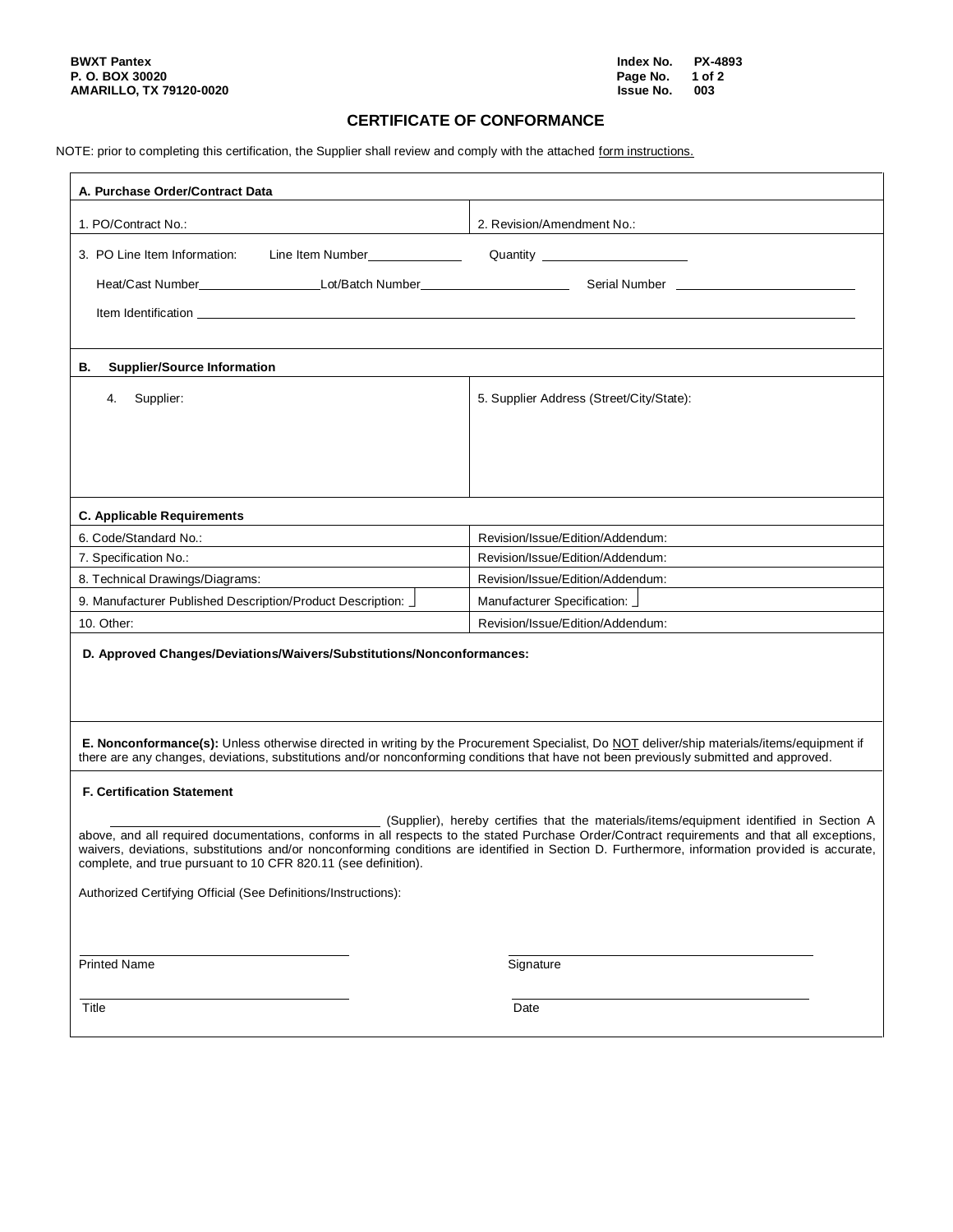# **CERTIFICATE OF CONFORMANCE**

NOTE: prior to completing this certification, the Supplier shall review and comply with the attached form instructions.

| A. Purchase Order/Contract Data                                                                                                                                                                                                                                                                                                                                                                                                                             |                                          |
|-------------------------------------------------------------------------------------------------------------------------------------------------------------------------------------------------------------------------------------------------------------------------------------------------------------------------------------------------------------------------------------------------------------------------------------------------------------|------------------------------------------|
| 1. PO/Contract No.:                                                                                                                                                                                                                                                                                                                                                                                                                                         | 2. Revision/Amendment No.:               |
| Line Item Number<br><u>Line Item Number</u><br>3. PO Line Item Information:                                                                                                                                                                                                                                                                                                                                                                                 | Quantity _______________________         |
|                                                                                                                                                                                                                                                                                                                                                                                                                                                             |                                          |
|                                                                                                                                                                                                                                                                                                                                                                                                                                                             |                                          |
|                                                                                                                                                                                                                                                                                                                                                                                                                                                             |                                          |
| <b>Supplier/Source Information</b><br>В.                                                                                                                                                                                                                                                                                                                                                                                                                    |                                          |
|                                                                                                                                                                                                                                                                                                                                                                                                                                                             |                                          |
| Supplier:<br>4.                                                                                                                                                                                                                                                                                                                                                                                                                                             | 5. Supplier Address (Street/City/State): |
|                                                                                                                                                                                                                                                                                                                                                                                                                                                             |                                          |
|                                                                                                                                                                                                                                                                                                                                                                                                                                                             |                                          |
|                                                                                                                                                                                                                                                                                                                                                                                                                                                             |                                          |
|                                                                                                                                                                                                                                                                                                                                                                                                                                                             |                                          |
| <b>C. Applicable Requirements</b>                                                                                                                                                                                                                                                                                                                                                                                                                           |                                          |
| 6. Code/Standard No.:                                                                                                                                                                                                                                                                                                                                                                                                                                       | Revision/Issue/Edition/Addendum:         |
| 7. Specification No.:                                                                                                                                                                                                                                                                                                                                                                                                                                       | Revision/Issue/Edition/Addendum:         |
| 8. Technical Drawings/Diagrams:                                                                                                                                                                                                                                                                                                                                                                                                                             | Revision/Issue/Edition/Addendum:         |
| 9. Manufacturer Published Description/Product Description:                                                                                                                                                                                                                                                                                                                                                                                                  | Manufacturer Specification: J            |
| 10. Other:                                                                                                                                                                                                                                                                                                                                                                                                                                                  | Revision/Issue/Edition/Addendum:         |
| D. Approved Changes/Deviations/Waivers/Substitutions/Nonconformances:                                                                                                                                                                                                                                                                                                                                                                                       |                                          |
|                                                                                                                                                                                                                                                                                                                                                                                                                                                             |                                          |
|                                                                                                                                                                                                                                                                                                                                                                                                                                                             |                                          |
| E. Nonconformance(s): Unless otherwise directed in writing by the Procurement Specialist, Do NOT deliver/ship materials/items/equipment if<br>there are any changes, deviations, substitutions and/or nonconforming conditions that have not been previously submitted and approved.                                                                                                                                                                        |                                          |
| <b>F. Certification Statement</b>                                                                                                                                                                                                                                                                                                                                                                                                                           |                                          |
|                                                                                                                                                                                                                                                                                                                                                                                                                                                             |                                          |
| (Supplier), hereby certifies that the materials/items/equipment identified in Section A<br>above, and all required documentations, conforms in all respects to the stated Purchase Order/Contract requirements and that all exceptions,<br>waivers, deviations, substitutions and/or nonconforming conditions are identified in Section D. Furthermore, information provided is accurate,<br>complete, and true pursuant to 10 CFR 820.11 (see definition). |                                          |
| Authorized Certifying Official (See Definitions/Instructions):                                                                                                                                                                                                                                                                                                                                                                                              |                                          |
|                                                                                                                                                                                                                                                                                                                                                                                                                                                             |                                          |
|                                                                                                                                                                                                                                                                                                                                                                                                                                                             |                                          |
| <b>Printed Name</b>                                                                                                                                                                                                                                                                                                                                                                                                                                         | Signature                                |
|                                                                                                                                                                                                                                                                                                                                                                                                                                                             |                                          |
| Title                                                                                                                                                                                                                                                                                                                                                                                                                                                       | Date                                     |